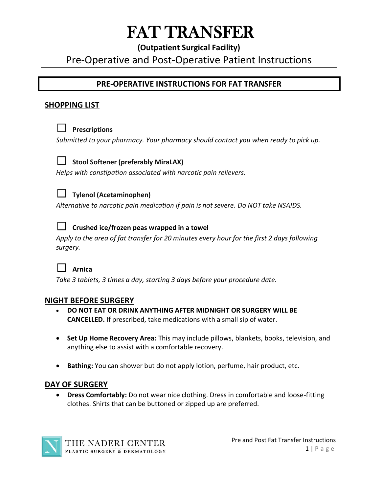# FAT TRANSFER

# **(Outpatient Surgical Facility)**

# Pre-Operative and Post-Operative Patient Instructions

# **PRE-OPERATIVE INSTRUCTIONS FOR FAT TRANSFER**

## **SHOPPING LIST**



#### ☐ **Prescriptions**

*Submitted to your pharmacy. Your pharmacy should contact you when ready to pick up.* 



#### ☐ **Stool Softener (preferably MiraLAX)**

*Helps with constipation associated with narcotic pain relievers.*



#### ☐ **Tylenol (Acetaminophen)**

*Alternative to narcotic pain medication if pain is not severe. Do NOT take NSAIDS.*



#### ☐ **Crushed ice/frozen peas wrapped in a towel**

*Apply to the area of fat transfer for 20 minutes every hour for the first 2 days following surgery.*



*Take 3 tablets, 3 times a day, starting 3 days before your procedure date.*

#### **NIGHT BEFORE SURGERY**

- **DO NOT EAT OR DRINK ANYTHING AFTER MIDNIGHT OR SURGERY WILL BE CANCELLED.** If prescribed, take medications with a small sip of water.
- **Set Up Home Recovery Area:** This may include pillows, blankets, books, television, and anything else to assist with a comfortable recovery.
- **Bathing:** You can shower but do not apply lotion, perfume, hair product, etc.

#### **DAY OF SURGERY**

• **Dress Comfortably:** Do not wear nice clothing. Dress in comfortable and loose-fitting clothes. Shirts that can be buttoned or zipped up are preferred.

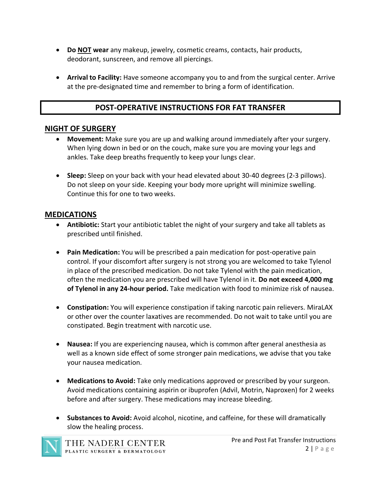- **Do NOT wear** any makeup, jewelry, cosmetic creams, contacts, hair products, deodorant, sunscreen, and remove all piercings.
- **Arrival to Facility:** Have someone accompany you to and from the surgical center. Arrive at the pre-designated time and remember to bring a form of identification.

# **POST-OPERATIVE INSTRUCTIONS FOR FAT TRANSFER**

#### **NIGHT OF SURGERY**

- **Movement:** Make sure you are up and walking around immediately after your surgery. When lying down in bed or on the couch, make sure you are moving your legs and ankles. Take deep breaths frequently to keep your lungs clear.
- **Sleep:** Sleep on your back with your head elevated about 30-40 degrees (2-3 pillows). Do not sleep on your side. Keeping your body more upright will minimize swelling. Continue this for one to two weeks.

## **MEDICATIONS**

- **Antibiotic:** Start your antibiotic tablet the night of your surgery and take all tablets as prescribed until finished.
- **Pain Medication:** You will be prescribed a pain medication for post-operative pain control. If your discomfort after surgery is not strong you are welcomed to take Tylenol in place of the prescribed medication. Do not take Tylenol with the pain medication, often the medication you are prescribed will have Tylenol in it. **Do not exceed 4,000 mg of Tylenol in any 24-hour period.** Take medication with food to minimize risk of nausea.
- **Constipation:** You will experience constipation if taking narcotic pain relievers. MiraLAX or other over the counter laxatives are recommended. Do not wait to take until you are constipated. Begin treatment with narcotic use.
- **Nausea:** If you are experiencing nausea, which is common after general anesthesia as well as a known side effect of some stronger pain medications, we advise that you take your nausea medication.
- **Medications to Avoid:** Take only medications approved or prescribed by your surgeon. Avoid medications containing aspirin or ibuprofen (Advil, Motrin, Naproxen) for 2 weeks before and after surgery. These medications may increase bleeding.
- **Substances to Avoid:** Avoid alcohol, nicotine, and caffeine, for these will dramatically slow the healing process.

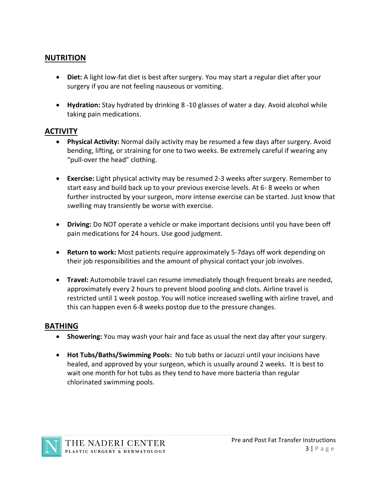#### **NUTRITION**

- **Diet:** A light low-fat diet is best after surgery. You may start a regular diet after your surgery if you are not feeling nauseous or vomiting.
- **Hydration:** Stay hydrated by drinking 8 -10 glasses of water a day. Avoid alcohol while taking pain medications.

#### **ACTIVITY**

- **Physical Activity:** Normal daily activity may be resumed a few days after surgery. Avoid bending, lifting, or straining for one to two weeks. Be extremely careful if wearing any "pull-over the head" clothing.
- **Exercise:** Light physical activity may be resumed 2-3 weeks after surgery. Remember to start easy and build back up to your previous exercise levels. At 6- 8 weeks or when further instructed by your surgeon, more intense exercise can be started. Just know that swelling may transiently be worse with exercise.
- **Driving:** Do NOT operate a vehicle or make important decisions until you have been off pain medications for 24 hours. Use good judgment.
- **Return to work:** Most patients require approximately 5-7days off work depending on their job responsibilities and the amount of physical contact your job involves.
- **Travel:** Automobile travel can resume immediately though frequent breaks are needed, approximately every 2 hours to prevent blood pooling and clots. Airline travel is restricted until 1 week postop. You will notice increased swelling with airline travel, and this can happen even 6-8 weeks postop due to the pressure changes.

#### **BATHING**

- **Showering:** You may wash your hair and face as usual the next day after your surgery.
- **Hot Tubs/Baths/Swimming Pools:** No tub baths or Jacuzzi until your incisions have healed, and approved by your surgeon, which is usually around 2 weeks. It is best to wait one month for hot tubs as they tend to have more bacteria than regular chlorinated swimming pools.

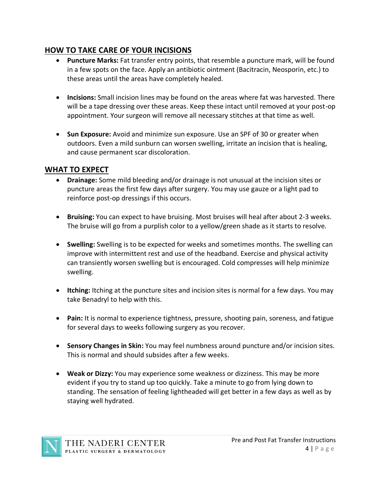# **HOW TO TAKE CARE OF YOUR INCISIONS**

- **Puncture Marks:** Fat transfer entry points, that resemble a puncture mark, will be found in a few spots on the face. Apply an antibiotic ointment (Bacitracin, Neosporin, etc.) to these areas until the areas have completely healed.
- **Incisions:** Small incision lines may be found on the areas where fat was harvested. There will be a tape dressing over these areas. Keep these intact until removed at your post-op appointment. Your surgeon will remove all necessary stitches at that time as well.
- **Sun Exposure:** Avoid and minimize sun exposure. Use an SPF of 30 or greater when outdoors. Even a mild sunburn can worsen swelling, irritate an incision that is healing, and cause permanent scar discoloration.

#### **WHAT TO EXPECT**

- **Drainage:** Some mild bleeding and/or drainage is not unusual at the incision sites or puncture areas the first few days after surgery. You may use gauze or a light pad to reinforce post-op dressings if this occurs.
- **Bruising:** You can expect to have bruising. Most bruises will heal after about 2-3 weeks. The bruise will go from a purplish color to a yellow/green shade as it starts to resolve.
- **Swelling:** Swelling is to be expected for weeks and sometimes months. The swelling can improve with intermittent rest and use of the headband. Exercise and physical activity can transiently worsen swelling but is encouraged. Cold compresses will help minimize swelling.
- **Itching:** Itching at the puncture sites and incision sites is normal for a few days. You may take Benadryl to help with this.
- **Pain:** It is normal to experience tightness, pressure, shooting pain, soreness, and fatigue for several days to weeks following surgery as you recover.
- **Sensory Changes in Skin:** You may feel numbness around puncture and/or incision sites. This is normal and should subsides after a few weeks.
- **Weak or Dizzy:** You may experience some weakness or dizziness. This may be more evident if you try to stand up too quickly. Take a minute to go from lying down to standing. The sensation of feeling lightheaded will get better in a few days as well as by staying well hydrated.